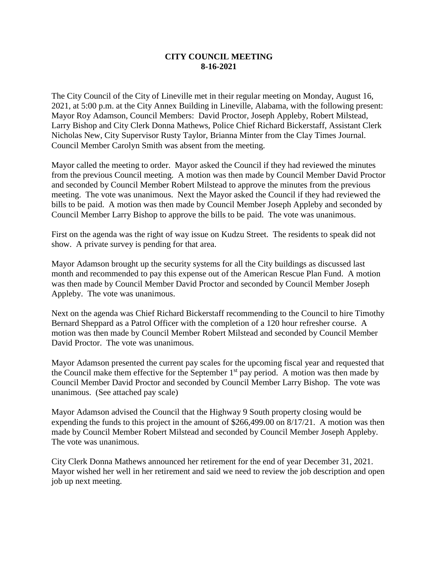## **CITY COUNCIL MEETING 8-16-2021**

The City Council of the City of Lineville met in their regular meeting on Monday, August 16, 2021, at 5:00 p.m. at the City Annex Building in Lineville, Alabama, with the following present: Mayor Roy Adamson, Council Members: David Proctor, Joseph Appleby, Robert Milstead, Larry Bishop and City Clerk Donna Mathews, Police Chief Richard Bickerstaff, Assistant Clerk Nicholas New, City Supervisor Rusty Taylor, Brianna Minter from the Clay Times Journal. Council Member Carolyn Smith was absent from the meeting.

Mayor called the meeting to order. Mayor asked the Council if they had reviewed the minutes from the previous Council meeting. A motion was then made by Council Member David Proctor and seconded by Council Member Robert Milstead to approve the minutes from the previous meeting. The vote was unanimous. Next the Mayor asked the Council if they had reviewed the bills to be paid. A motion was then made by Council Member Joseph Appleby and seconded by Council Member Larry Bishop to approve the bills to be paid. The vote was unanimous.

First on the agenda was the right of way issue on Kudzu Street. The residents to speak did not show. A private survey is pending for that area.

Mayor Adamson brought up the security systems for all the City buildings as discussed last month and recommended to pay this expense out of the American Rescue Plan Fund. A motion was then made by Council Member David Proctor and seconded by Council Member Joseph Appleby. The vote was unanimous.

Next on the agenda was Chief Richard Bickerstaff recommending to the Council to hire Timothy Bernard Sheppard as a Patrol Officer with the completion of a 120 hour refresher course. A motion was then made by Council Member Robert Milstead and seconded by Council Member David Proctor. The vote was unanimous.

Mayor Adamson presented the current pay scales for the upcoming fiscal year and requested that the Council make them effective for the September  $1<sup>st</sup>$  pay period. A motion was then made by Council Member David Proctor and seconded by Council Member Larry Bishop. The vote was unanimous. (See attached pay scale)

Mayor Adamson advised the Council that the Highway 9 South property closing would be expending the funds to this project in the amount of \$266,499.00 on 8/17/21. A motion was then made by Council Member Robert Milstead and seconded by Council Member Joseph Appleby. The vote was unanimous.

City Clerk Donna Mathews announced her retirement for the end of year December 31, 2021. Mayor wished her well in her retirement and said we need to review the job description and open job up next meeting.